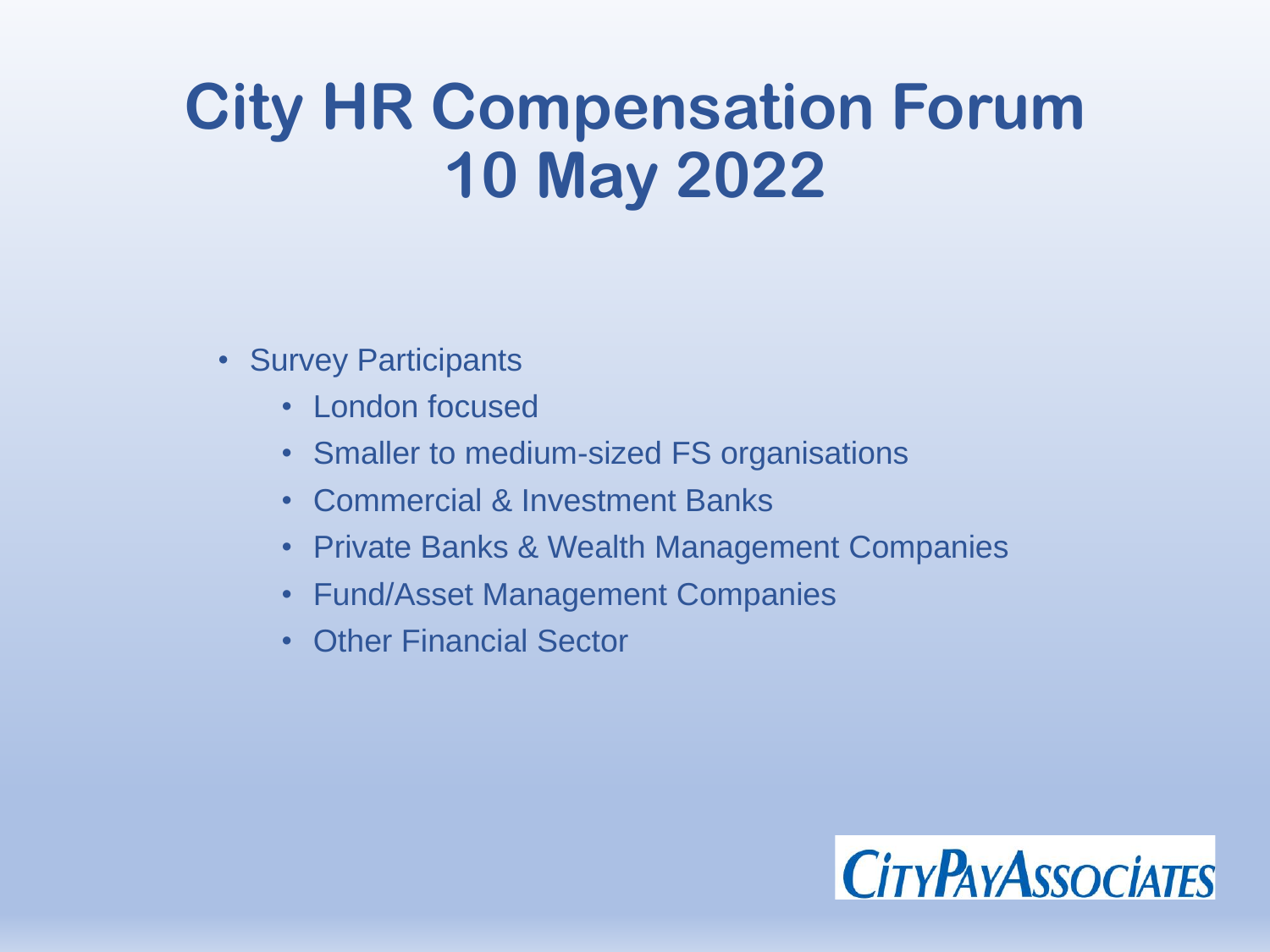# **City HR Compensation Forum 10 May 2022**

- Survey Participants
	- London focused
	- Smaller to medium-sized FS organisations
	- Commercial & Investment Banks
	- Private Banks & Wealth Management Companies
	- Fund/Asset Management Companies
	- **Other Financial Sector**

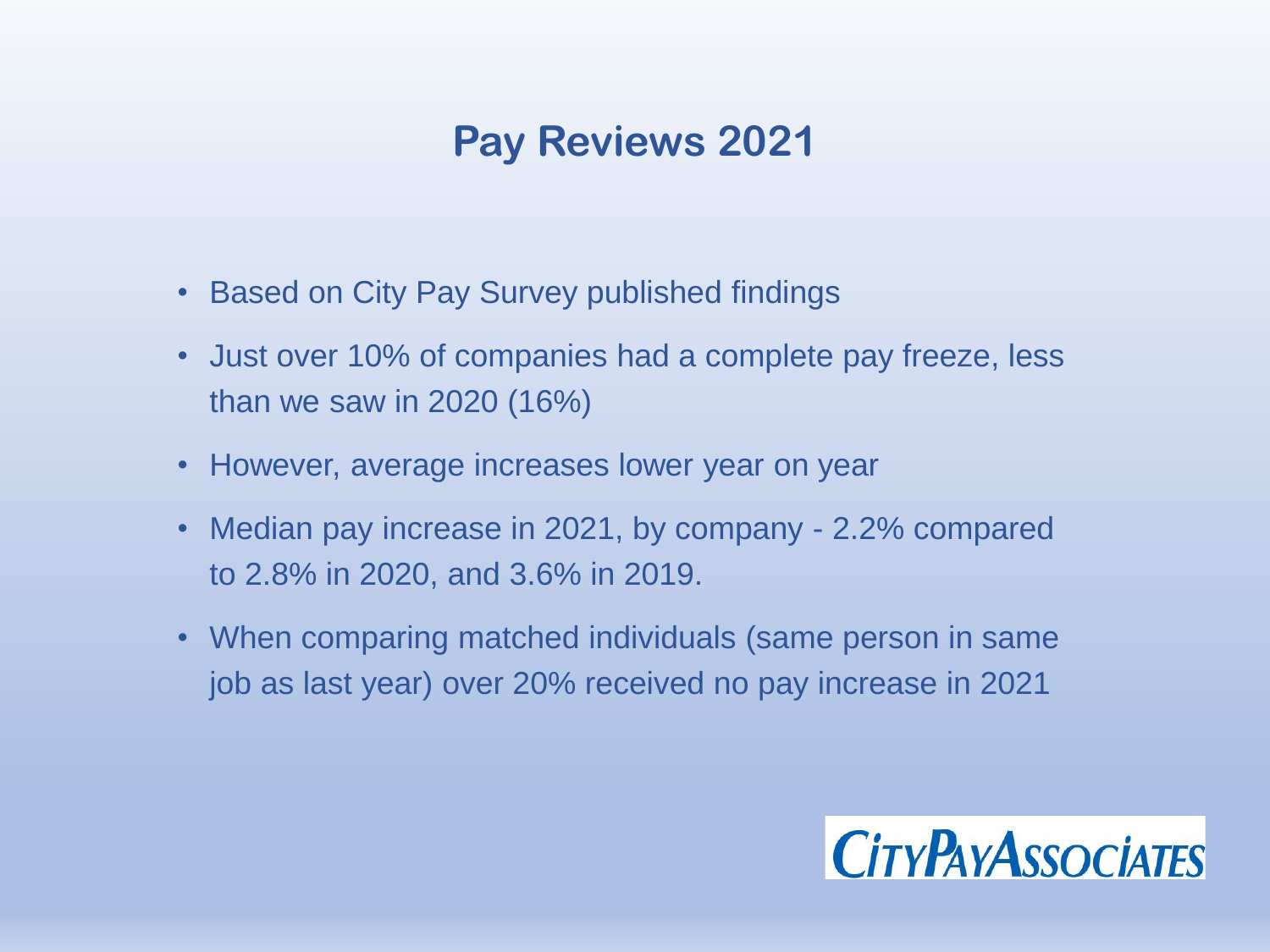#### **Pay Reviews 2021**

- Based on City Pay Survey published findings
- Just over 10% of companies had a complete pay freeze, less than we saw in 2020 (16%)
- However, average increases lower year on year
- Median pay increase in 2021, by company 2.2% compared to 2.8% in 2020, and 3.6% in 2019.
- When comparing matched individuals (same person in same job as last year) over 20% received no pay increase in 2021

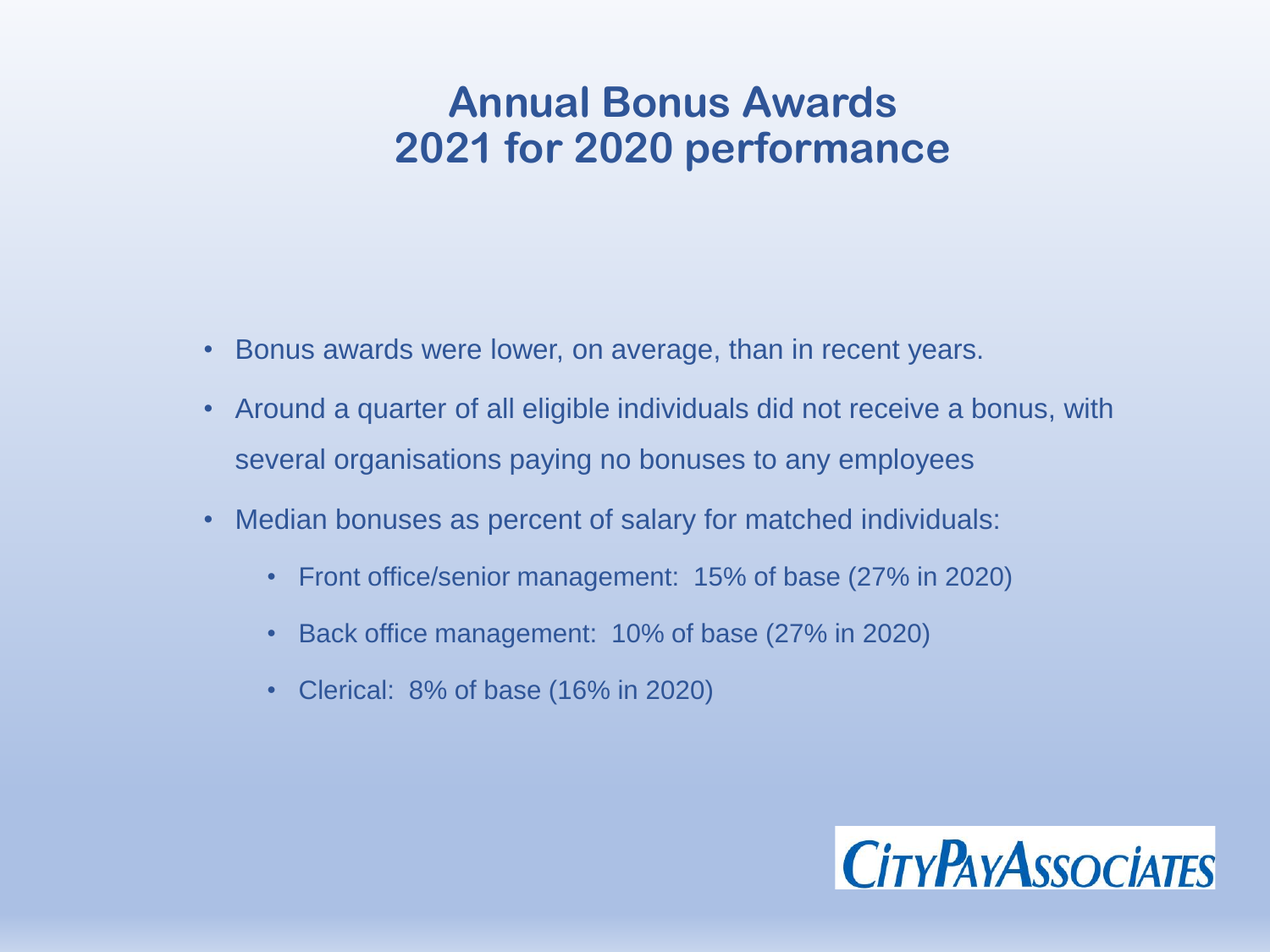#### **Annual Bonus Awards 2021 for 2020 performance**

- Bonus awards were lower, on average, than in recent years.
- Around a quarter of all eligible individuals did not receive a bonus, with several organisations paying no bonuses to any employees
- Median bonuses as percent of salary for matched individuals:
	- Front office/senior management: 15% of base (27% in 2020)
	- Back office management: 10% of base (27% in 2020)
	- Clerical: 8% of base (16% in 2020)

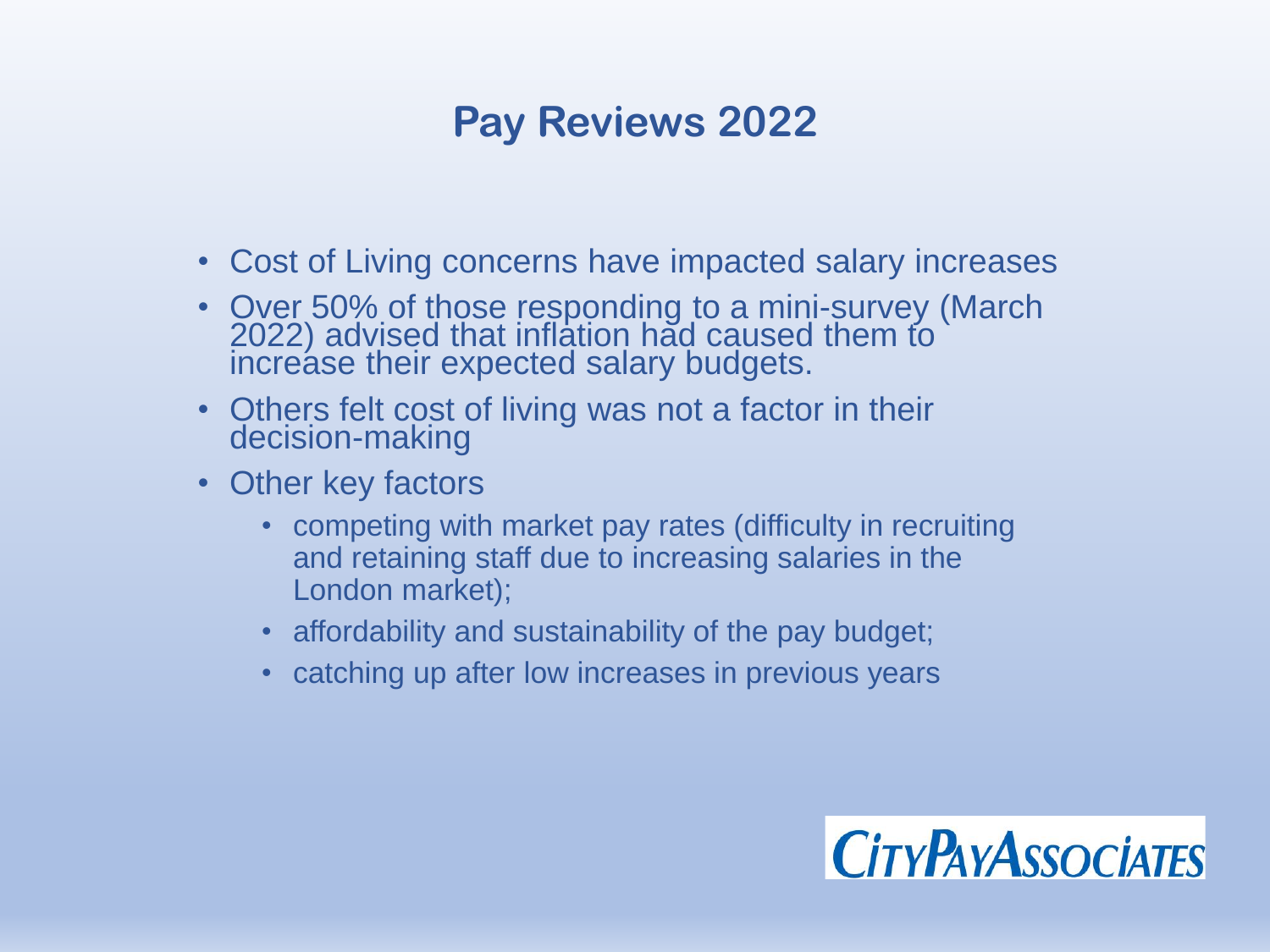# **Pay Reviews 2022**

- Cost of Living concerns have impacted salary increases
- Over 50% of those responding to a mini-survey (March 2022) advised that inflation had caused them to increase their expected salary budgets.
- Others felt cost of living was not a factor in their decision-making
- Other key factors
	- competing with market pay rates (difficulty in recruiting and retaining staff due to increasing salaries in the London market);
	- affordability and sustainability of the pay budget;
	- catching up after low increases in previous years

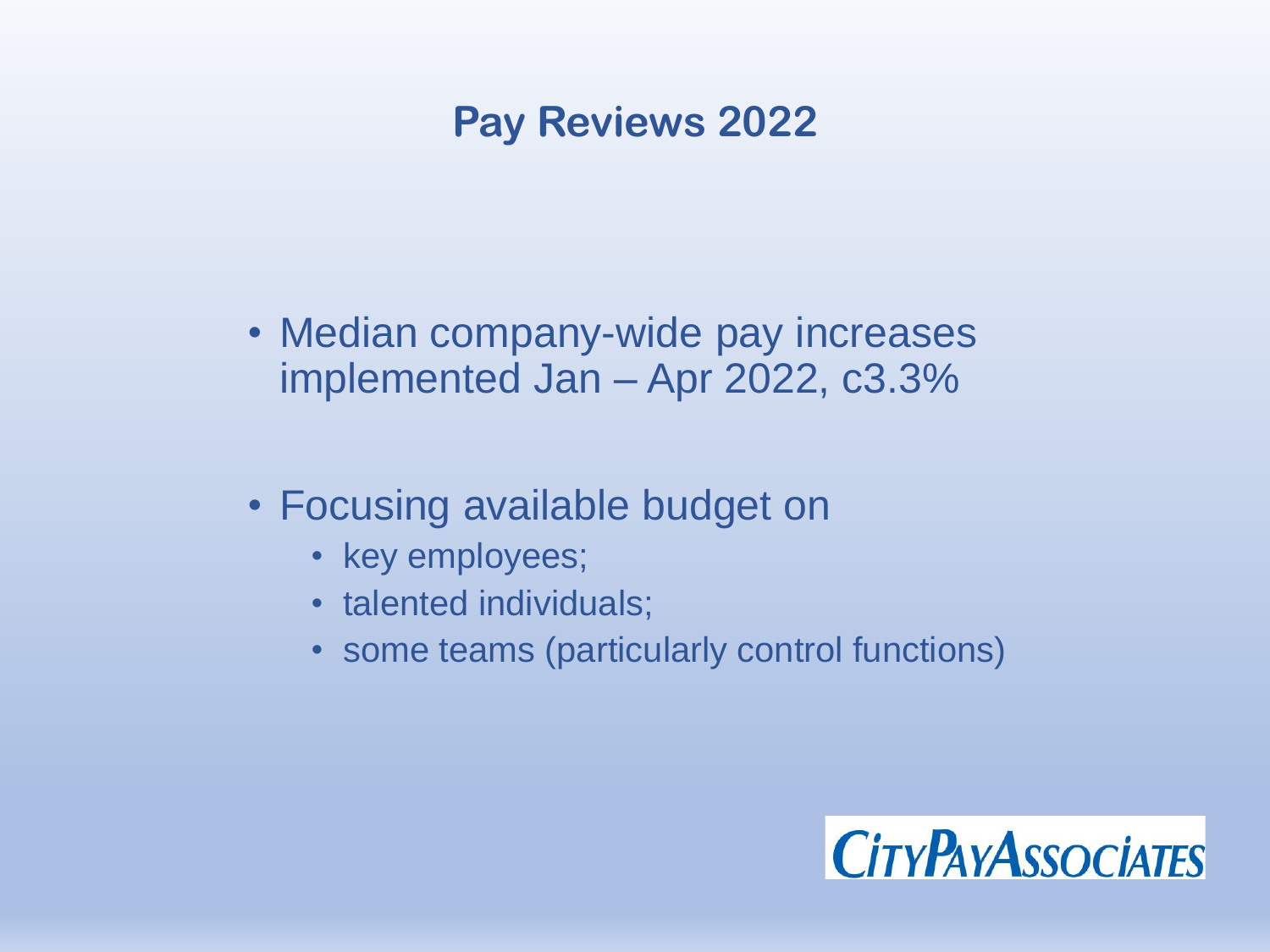### **Pay Reviews 2022**

- Median company-wide pay increases implemented Jan – Apr 2022, c3.3%
- Focusing available budget on
	- key employees;
	- talented individuals;
	- some teams (particularly control functions)

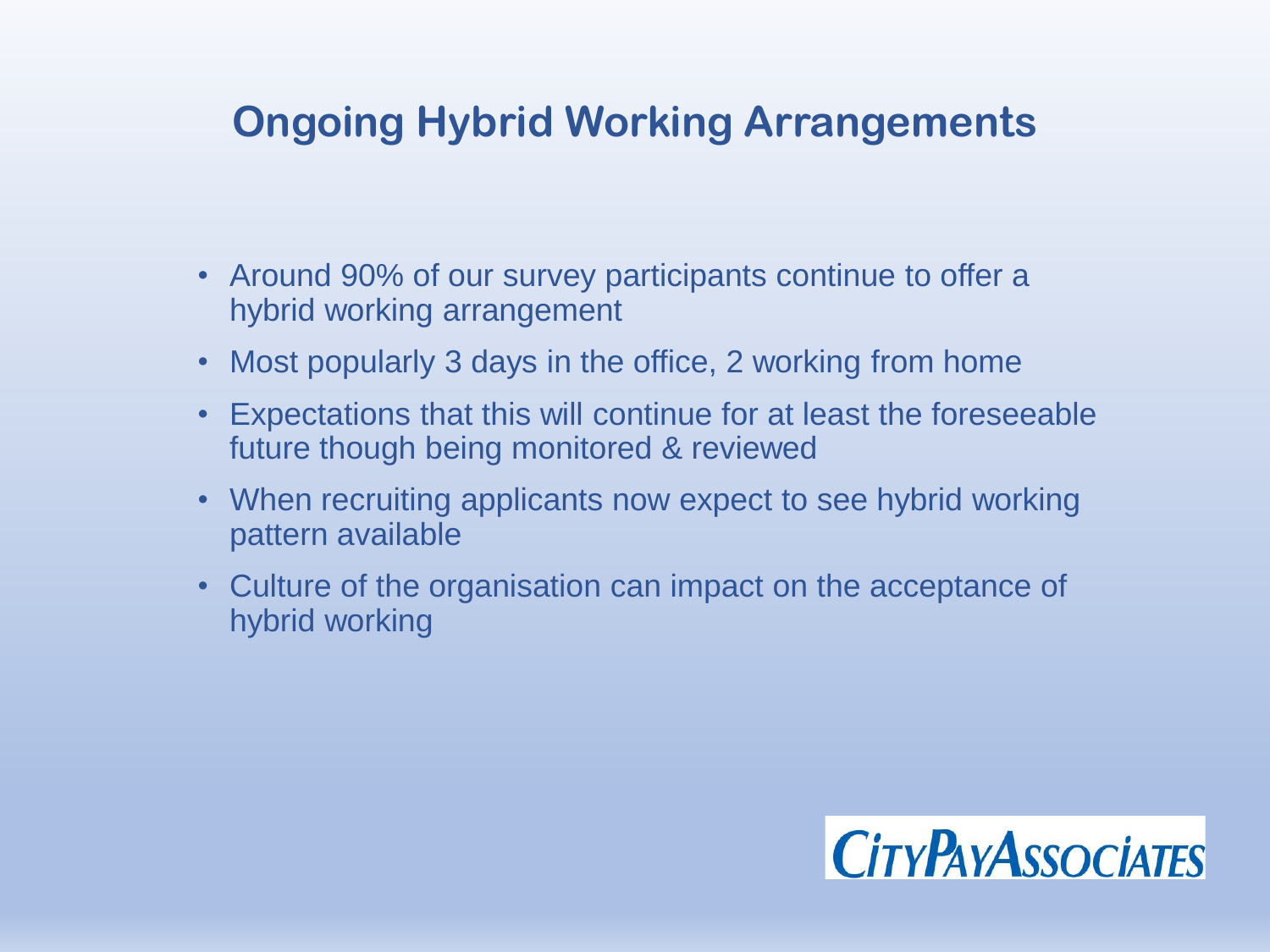# **Ongoing Hybrid Working Arrangements**

- Around 90% of our survey participants continue to offer a hybrid working arrangement
- Most popularly 3 days in the office, 2 working from home
- Expectations that this will continue for at least the foreseeable future though being monitored & reviewed
- When recruiting applicants now expect to see hybrid working pattern available
- Culture of the organisation can impact on the acceptance of hybrid working

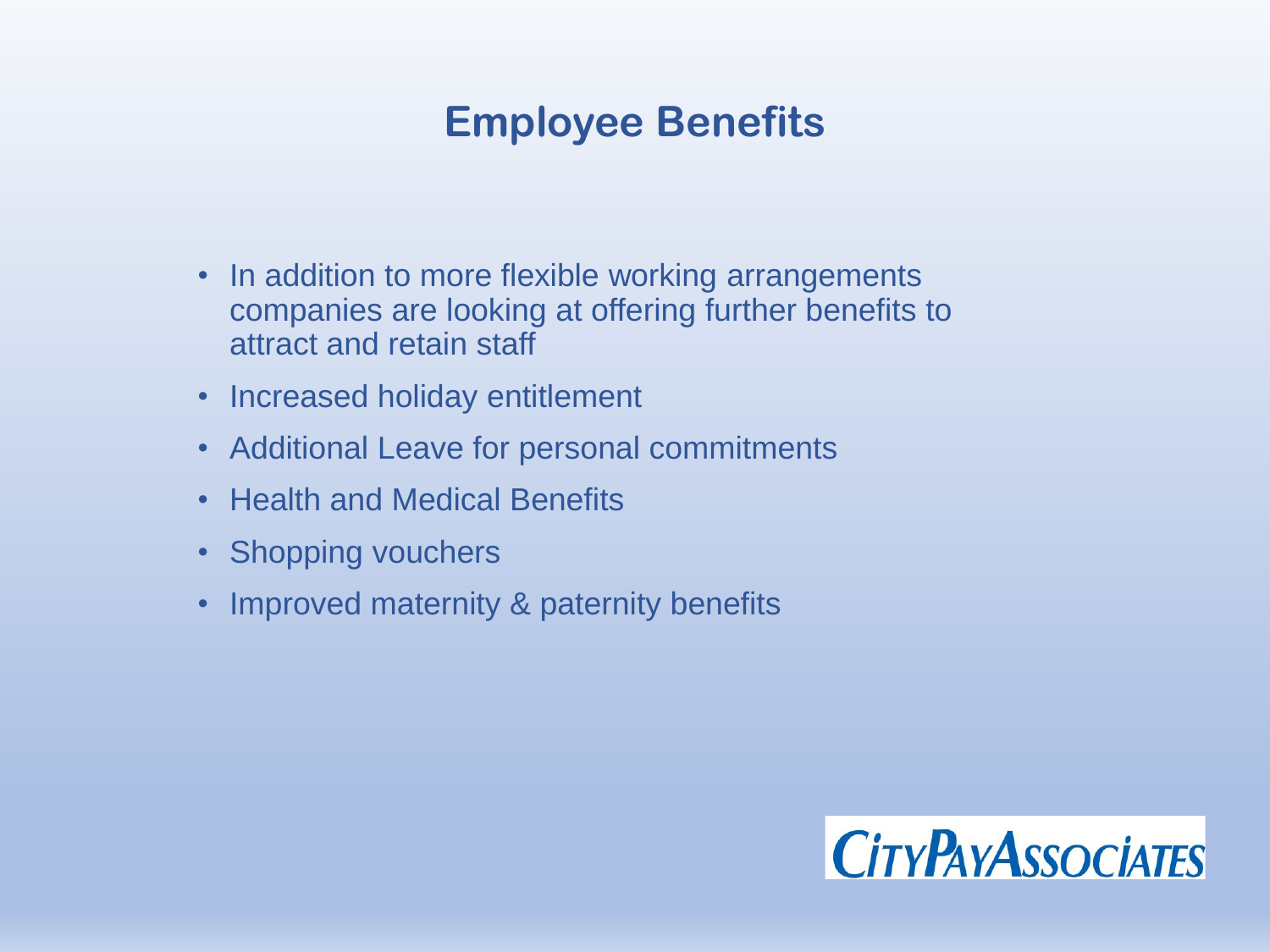### **Employee Benefits**

- In addition to more flexible working arrangements companies are looking at offering further benefits to attract and retain staff
- Increased holiday entitlement
- Additional Leave for personal commitments
- Health and Medical Benefits
- Shopping vouchers
- Improved maternity & paternity benefits